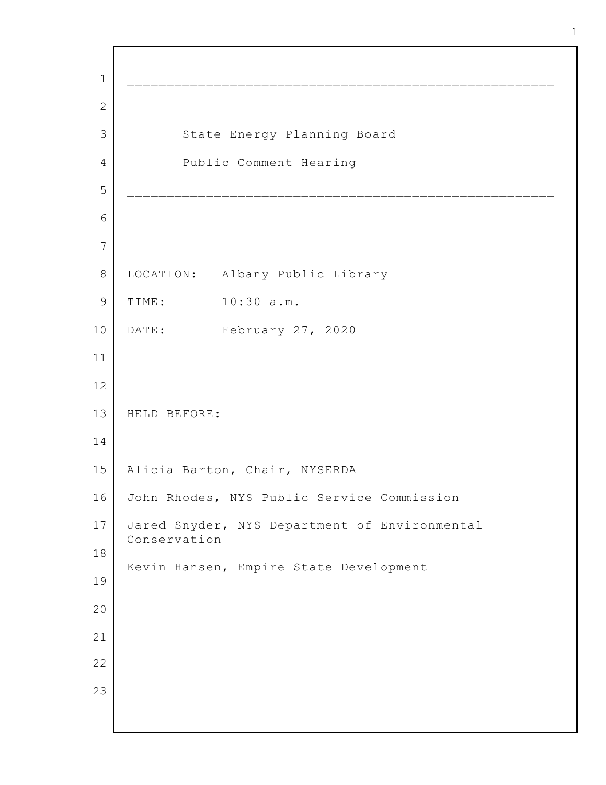\_\_\_\_\_\_\_\_\_\_\_\_\_\_\_\_\_\_\_\_\_\_\_\_\_\_\_\_\_\_\_\_\_\_\_\_\_\_\_\_\_\_\_\_\_\_\_\_\_\_\_\_\_\_ State Energy Planning Board Public Comment Hearing \_\_\_\_\_\_\_\_\_\_\_\_\_\_\_\_\_\_\_\_\_\_\_\_\_\_\_\_\_\_\_\_\_\_\_\_\_\_\_\_\_\_\_\_\_\_\_\_\_\_\_\_\_\_ LOCATION: Albany Public Library TIME: 10:30 a.m. DATE: February 27, 2020 HELD BEFORE: Alicia Barton, Chair, NYSERDA John Rhodes, NYS Public Service Commission Jared Snyder, NYS Department of Environmental Conservation Kevin Hansen, Empire State Development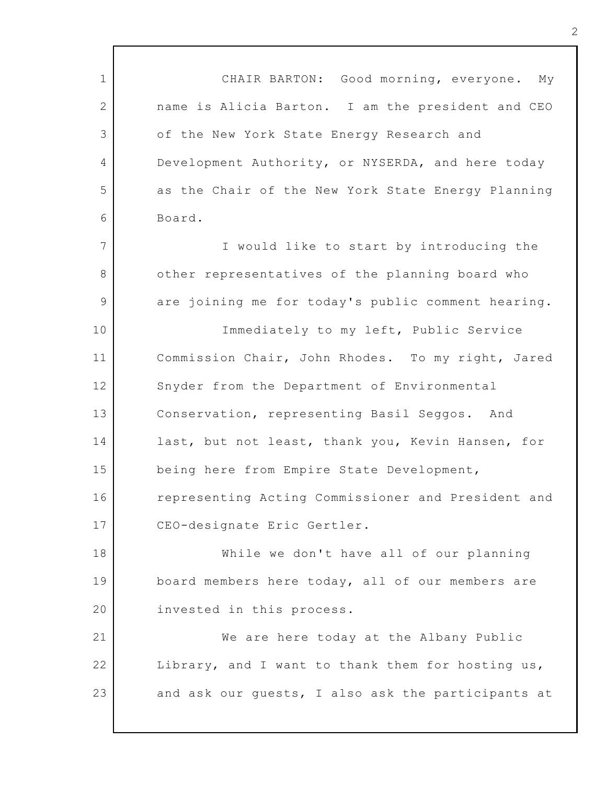1 2 3 4 5 6 7 8 9 10 11 12 13 14 15 16 17 18 19 20 21 22 23 CHAIR BARTON: Good morning, everyone. My name is Alicia Barton. I am the president and CEO of the New York State Energy Research and Development Authority, or NYSERDA, and here today as the Chair of the New York State Energy Planning Board. I would like to start by introducing the other representatives of the planning board who are joining me for today's public comment hearing. Immediately to my left, Public Service Commission Chair, John Rhodes. To my right, Jared Snyder from the Department of Environmental Conservation, representing Basil Seggos. And last, but not least, thank you, Kevin Hansen, for being here from Empire State Development, representing Acting Commissioner and President and CEO-designate Eric Gertler. While we don't have all of our planning board members here today, all of our members are invested in this process. We are here today at the Albany Public Library, and I want to thank them for hosting us, and ask our guests, I also ask the participants at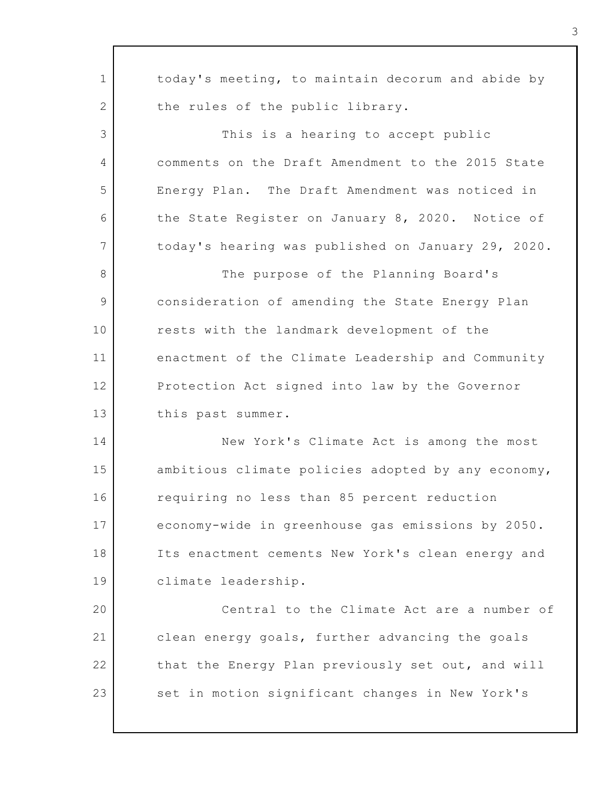1 2 3 4 5 6 7 8 9 10 11 12 13 14 15 16 17 18 19 20 21 22 23 today's meeting, to maintain decorum and abide by the rules of the public library. This is a hearing to accept public comments on the Draft Amendment to the 2015 State Energy Plan. The Draft Amendment was noticed in the State Register on January 8, 2020. Notice of today's hearing was published on January 29, 2020. The purpose of the Planning Board's consideration of amending the State Energy Plan rests with the landmark development of the enactment of the Climate Leadership and Community Protection Act signed into law by the Governor this past summer. New York's Climate Act is among the most ambitious climate policies adopted by any economy, requiring no less than 85 percent reduction economy-wide in greenhouse gas emissions by 2050. Its enactment cements New York's clean energy and climate leadership. Central to the Climate Act are a number of clean energy goals, further advancing the goals that the Energy Plan previously set out, and will set in motion significant changes in New York's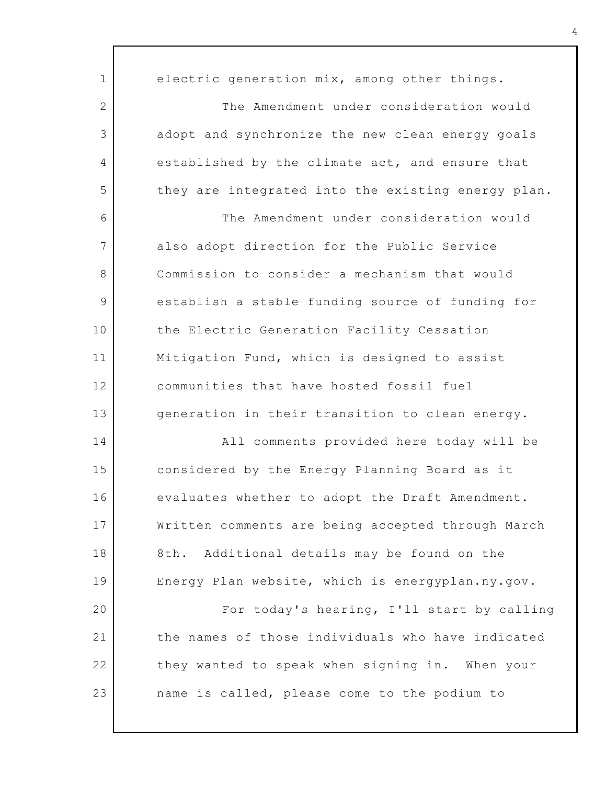| $\mathbf{1}$ | electric generation mix, among other things.       |
|--------------|----------------------------------------------------|
| $\mathbf{2}$ | The Amendment under consideration would            |
| 3            | adopt and synchronize the new clean energy goals   |
| 4            | established by the climate act, and ensure that    |
| 5            | they are integrated into the existing energy plan. |
| 6            | The Amendment under consideration would            |
| 7            | also adopt direction for the Public Service        |
| 8            | Commission to consider a mechanism that would      |
| 9            | establish a stable funding source of funding for   |
| 10           | the Electric Generation Facility Cessation         |
| 11           | Mitigation Fund, which is designed to assist       |
| 12           | communities that have hosted fossil fuel           |
| 13           | generation in their transition to clean energy.    |
| 14           | All comments provided here today will be           |
| 15           | considered by the Energy Planning Board as it      |
| 16           | evaluates whether to adopt the Draft Amendment.    |
| 17           | Written comments are being accepted through March  |
| 18           | 8th. Additional details may be found on the        |
| 19           | Energy Plan website, which is energyplan.ny.gov.   |
| 20           | For today's hearing, I'll start by calling         |
| 21           | the names of those individuals who have indicated  |
| 22           | they wanted to speak when signing in. When your    |
| 23           | name is called, please come to the podium to       |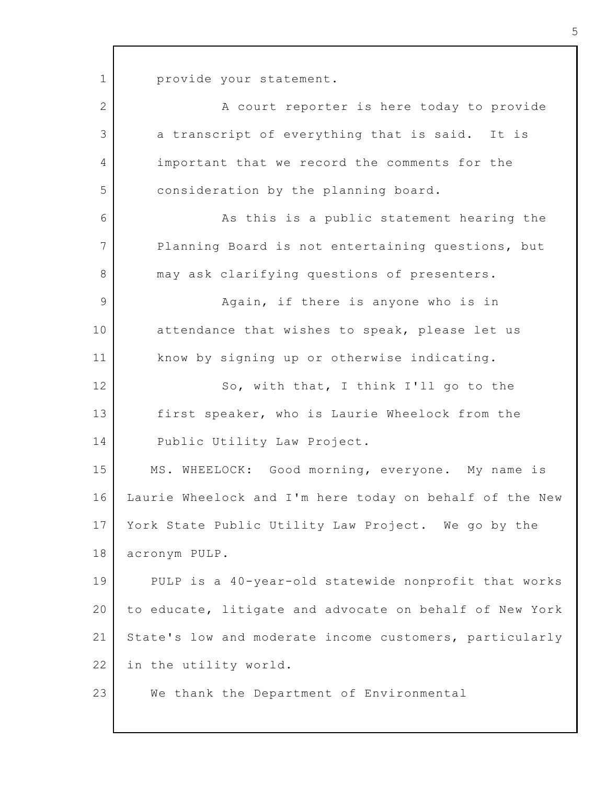1 provide your statement.

| $\overline{2}$ | A court reporter is here today to provide               |
|----------------|---------------------------------------------------------|
| 3              | a transcript of everything that is said. It is          |
| 4              | important that we record the comments for the           |
| 5              | consideration by the planning board.                    |
| 6              | As this is a public statement hearing the               |
| 7              | Planning Board is not entertaining questions, but       |
| 8              | may ask clarifying questions of presenters.             |
| 9              | Again, if there is anyone who is in                     |
| 10             | attendance that wishes to speak, please let us          |
| 11             | know by signing up or otherwise indicating.             |
| 12             | So, with that, I think I'll go to the                   |
| 13             | first speaker, who is Laurie Wheelock from the          |
| 14             | Public Utility Law Project.                             |
| 15             | MS. WHEELOCK: Good morning, everyone. My name is        |
| 16             | Laurie Wheelock and I'm here today on behalf of the New |
| 17             | York State Public Utility Law Project. We go by the     |
| 18             | acronym PULP.                                           |
| 19             | PULP is a 40-year-old statewide nonprofit that works    |
| 20             | to educate, litigate and advocate on behalf of New York |
| 21             | State's low and moderate income customers, particularly |
| 22             | in the utility world.                                   |
| 23             | We thank the Department of Environmental                |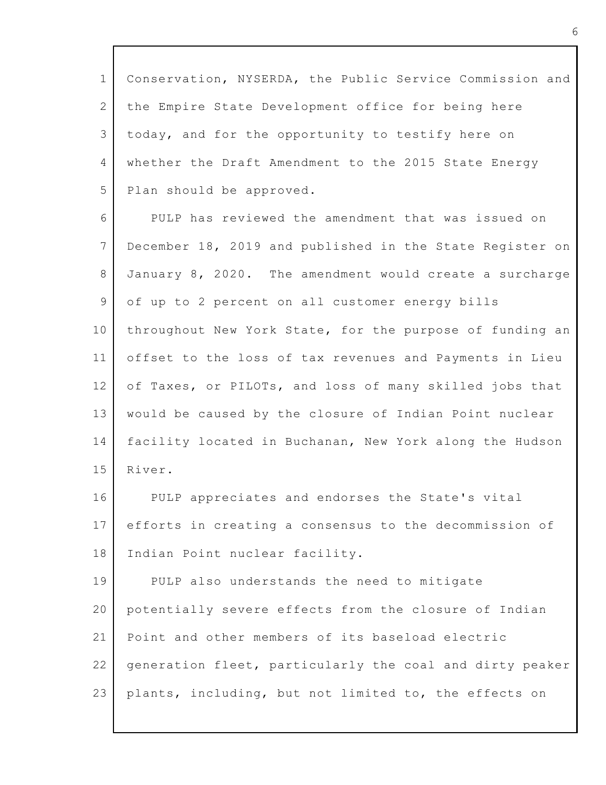| $\mathbf{1}$          | Conservation, NYSERDA, the Public Service Commission and |
|-----------------------|----------------------------------------------------------|
| $\mathbf{2}^{\prime}$ | the Empire State Development office for being here       |
| 3                     | today, and for the opportunity to testify here on        |
| $\overline{4}$        | whether the Draft Amendment to the 2015 State Energy     |
| 5                     | Plan should be approved.                                 |
| 6                     | PULP has reviewed the amendment that was issued on       |
| 7                     | December 18, 2019 and published in the State Register on |
| 8                     | January 8, 2020. The amendment would create a surcharge  |
| 9                     | of up to 2 percent on all customer energy bills          |
| 10                    | throughout New York State, for the purpose of funding an |
| 11                    | offset to the loss of tax revenues and Payments in Lieu  |
| 12                    | of Taxes, or PILOTs, and loss of many skilled jobs that  |
| 13                    | would be caused by the closure of Indian Point nuclear   |
| 14                    | facility located in Buchanan, New York along the Hudson  |
| 15                    | River.                                                   |
| 16                    | PULP appreciates and endorses the State's vital          |
| 17                    | efforts in creating a consensus to the decommission of   |
| 18                    | Indian Point nuclear facility.                           |
| 19                    | PULP also understands the need to mitigate               |
| 20                    | potentially severe effects from the closure of Indian    |
| 21                    | Point and other members of its baseload electric         |
| 22                    | generation fleet, particularly the coal and dirty peaker |
| 23                    | plants, including, but not limited to, the effects on    |
|                       |                                                          |

Г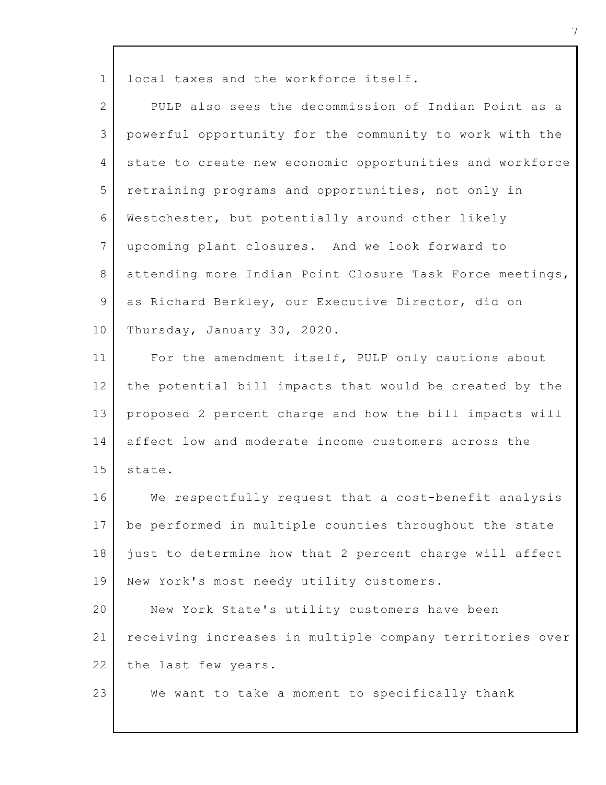| $\mathbf 1$     | local taxes and the workforce itself.                    |
|-----------------|----------------------------------------------------------|
| $\overline{2}$  | PULP also sees the decommission of Indian Point as a     |
| 3               | powerful opportunity for the community to work with the  |
| $\overline{4}$  | state to create new economic opportunities and workforce |
| 5               | retraining programs and opportunities, not only in       |
| 6               | Westchester, but potentially around other likely         |
| $7\phantom{.0}$ | upcoming plant closures. And we look forward to          |
| 8               | attending more Indian Point Closure Task Force meetings, |
| 9               | as Richard Berkley, our Executive Director, did on       |
| 10              | Thursday, January 30, 2020.                              |
| 11              | For the amendment itself, PULP only cautions about       |
| 12              | the potential bill impacts that would be created by the  |
| 13              | proposed 2 percent charge and how the bill impacts will  |
| 14              | affect low and moderate income customers across the      |
| 15              | state.                                                   |
| 16              | We respectfully request that a cost-benefit analysis     |
| 17              | be performed in multiple counties throughout the state   |
| 18              | just to determine how that 2 percent charge will affect  |
| 19              | New York's most needy utility customers.                 |
| 20              | New York State's utility customers have been             |
| 21              | receiving increases in multiple company territories over |
| 22              | the last few years.                                      |
| 23              | We want to take a moment to specifically thank           |

Г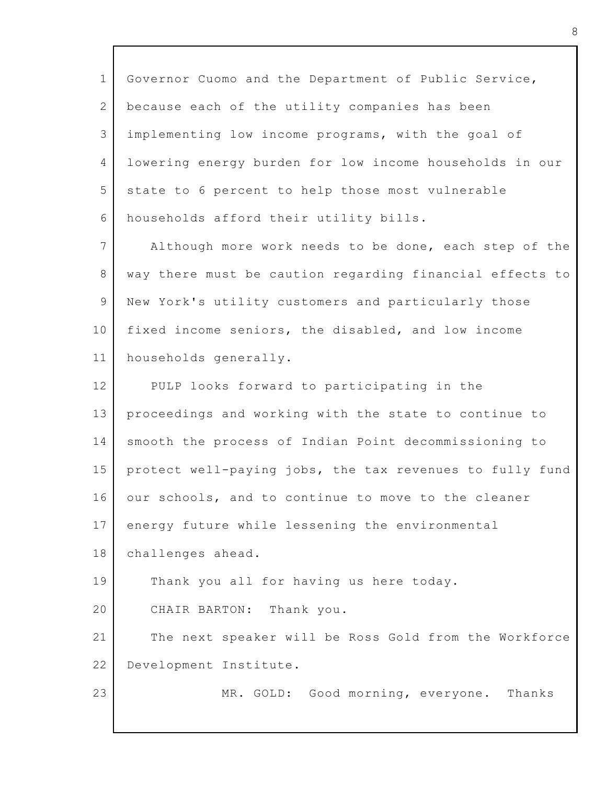| $\mathbf{1}$    | Governor Cuomo and the Department of Public Service,     |
|-----------------|----------------------------------------------------------|
| $\mathbf{2}$    | because each of the utility companies has been           |
| 3               | implementing low income programs, with the goal of       |
| $\overline{4}$  | lowering energy burden for low income households in our  |
| 5               | state to 6 percent to help those most vulnerable         |
| 6               | households afford their utility bills.                   |
| $7\phantom{.0}$ | Although more work needs to be done, each step of the    |
| 8               | way there must be caution regarding financial effects to |
| 9               | New York's utility customers and particularly those      |
| 10              | fixed income seniors, the disabled, and low income       |
| 11              | households generally.                                    |
| 12 <sup>°</sup> | PULP looks forward to participating in the               |
| 13              | proceedings and working with the state to continue to    |
| 14              | smooth the process of Indian Point decommissioning to    |
| 15              | protect well-paying jobs, the tax revenues to fully fund |
| 16              | our schools, and to continue to move to the cleaner      |
| 17              | energy future while lessening the environmental          |
| 18              | challenges ahead.                                        |
| 19              | Thank you all for having us here today.                  |
| 20              | CHAIR BARTON: Thank you.                                 |
| 21              | The next speaker will be Ross Gold from the Workforce    |
| 22              | Development Institute.                                   |
| 23              | MR. GOLD: Good morning, everyone.<br>Thanks              |
|                 |                                                          |

Г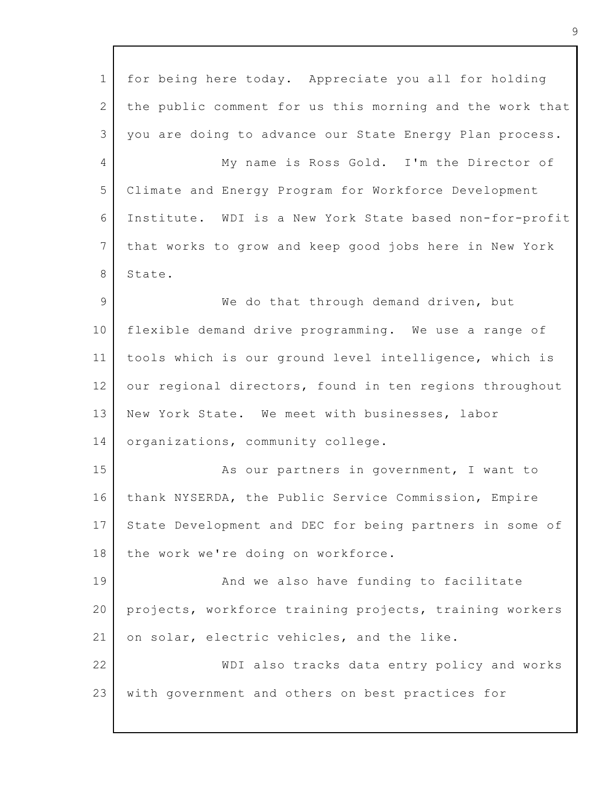| $\mathbf 1$    | for being here today. Appreciate you all for holding     |
|----------------|----------------------------------------------------------|
| $\mathbf{2}$   | the public comment for us this morning and the work that |
| 3              | you are doing to advance our State Energy Plan process.  |
| $\overline{4}$ | My name is Ross Gold. I'm the Director of                |
| 5              | Climate and Energy Program for Workforce Development     |
| 6              | Institute. WDI is a New York State based non-for-profit  |
| $7\phantom{.}$ | that works to grow and keep good jobs here in New York   |
| 8              | State.                                                   |
| $\mathcal{G}$  | We do that through demand driven, but                    |
| 10             | flexible demand drive programming. We use a range of     |
| 11             | tools which is our ground level intelligence, which is   |
| 12             | our regional directors, found in ten regions throughout  |
| 13             | New York State. We meet with businesses, labor           |
| 14             | organizations, community college.                        |
| 15             | As our partners in government, I want to                 |
| 16             | thank NYSERDA, the Public Service Commission, Empire     |
| 17             | State Development and DEC for being partners in some of  |
| 18             | the work we're doing on workforce.                       |
| 19             | And we also have funding to facilitate                   |
| 20             | projects, workforce training projects, training workers  |
| 21             | on solar, electric vehicles, and the like.               |
| 22             | WDI also tracks data entry policy and works              |
| 23             | with government and others on best practices for         |
|                |                                                          |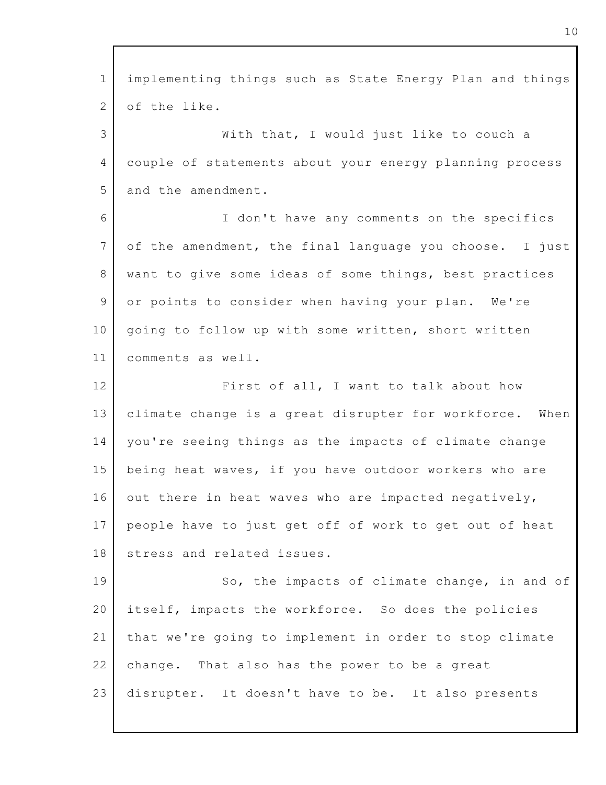| $\mathbf 1$    | implementing things such as State Energy Plan and things |
|----------------|----------------------------------------------------------|
| $\mathbf{2}$   | of the like.                                             |
| 3              | With that, I would just like to couch a                  |
| $\overline{4}$ | couple of statements about your energy planning process  |
| 5              | and the amendment.                                       |
| 6              | I don't have any comments on the specifics               |
| $7\phantom{.}$ | of the amendment, the final language you choose. I just  |
| 8              | want to give some ideas of some things, best practices   |
| 9              | or points to consider when having your plan. We're       |
| 10             | going to follow up with some written, short written      |
| 11             | comments as well.                                        |
| 12             | First of all, I want to talk about how                   |
| 13             | climate change is a great disrupter for workforce. When  |
| 14             | you're seeing things as the impacts of climate change    |
| 15             | being heat waves, if you have outdoor workers who are    |
| 16             | out there in heat waves who are impacted negatively,     |
| 17             | people have to just get off of work to get out of heat   |
| 18             | stress and related issues.                               |
| 19             | So, the impacts of climate change, in and of             |
| 20             | itself, impacts the workforce. So does the policies      |
| 21             | that we're going to implement in order to stop climate   |
| 22             | change. That also has the power to be a great            |
| 23             | disrupter. It doesn't have to be. It also presents       |
|                |                                                          |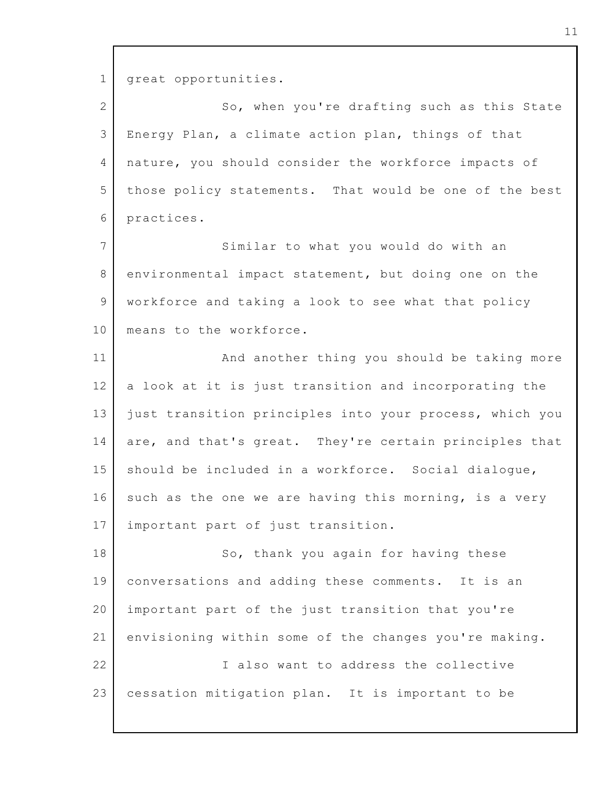1 2 3 4 5 6 7 8 9 10 11 12 13 14 15 16 17 18 19 20 21 22 23 great opportunities. So, when you're drafting such as this State Energy Plan, a climate action plan, things of that nature, you should consider the workforce impacts of those policy statements. That would be one of the best practices. Similar to what you would do with an environmental impact statement, but doing one on the workforce and taking a look to see what that policy means to the workforce. And another thing you should be taking more a look at it is just transition and incorporating the just transition principles into your process, which you are, and that's great. They're certain principles that should be included in a workforce. Social dialogue, such as the one we are having this morning, is a very important part of just transition. So, thank you again for having these conversations and adding these comments. It is an important part of the just transition that you're envisioning within some of the changes you're making. I also want to address the collective cessation mitigation plan. It is important to be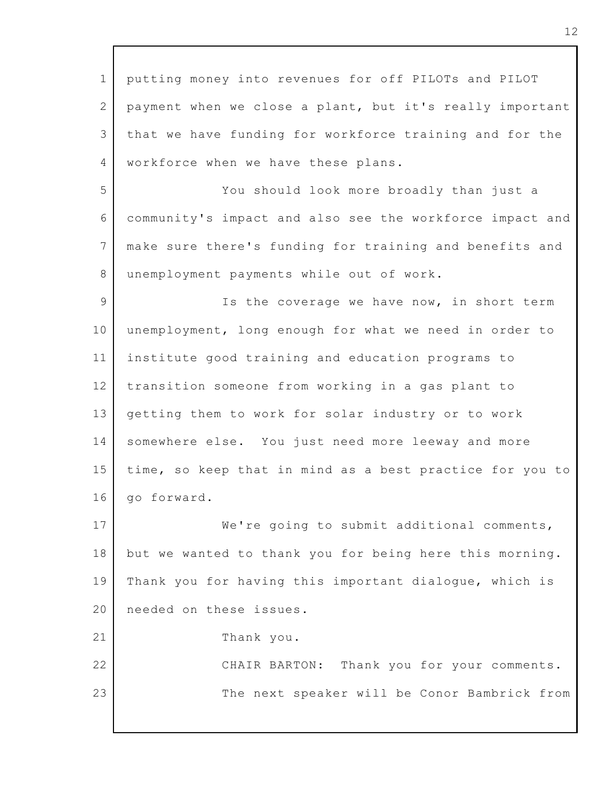1 2 3 4 5 6 7 8 9 10 11 12 13 14 15 16 17 18 19 20 21 22 23 putting money into revenues for off PILOTs and PILOT payment when we close a plant, but it's really important that we have funding for workforce training and for the workforce when we have these plans. You should look more broadly than just a community's impact and also see the workforce impact and make sure there's funding for training and benefits and unemployment payments while out of work. Is the coverage we have now, in short term unemployment, long enough for what we need in order to institute good training and education programs to transition someone from working in a gas plant to getting them to work for solar industry or to work somewhere else. You just need more leeway and more time, so keep that in mind as a best practice for you to go forward. We're going to submit additional comments, but we wanted to thank you for being here this morning. Thank you for having this important dialogue, which is needed on these issues. Thank you. CHAIR BARTON: Thank you for your comments. The next speaker will be Conor Bambrick from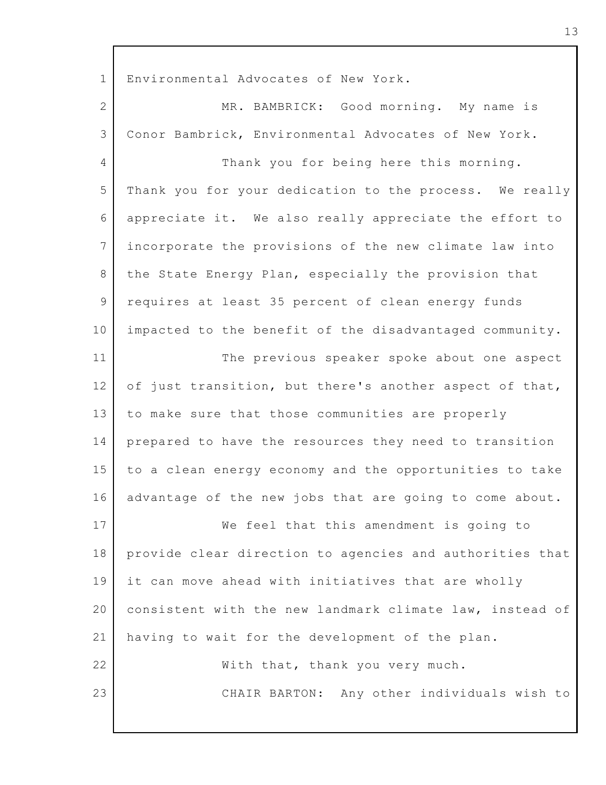1 2 3 4 5 6 7 8 9 10 11 12 13 14 15 16 17 18 19 20 21 22 23 Environmental Advocates of New York. MR. BAMBRICK: Good morning. My name is Conor Bambrick, Environmental Advocates of New York. Thank you for being here this morning. Thank you for your dedication to the process. We really appreciate it. We also really appreciate the effort to incorporate the provisions of the new climate law into the State Energy Plan, especially the provision that requires at least 35 percent of clean energy funds impacted to the benefit of the disadvantaged community. The previous speaker spoke about one aspect of just transition, but there's another aspect of that, to make sure that those communities are properly prepared to have the resources they need to transition to a clean energy economy and the opportunities to take advantage of the new jobs that are going to come about. We feel that this amendment is going to provide clear direction to agencies and authorities that it can move ahead with initiatives that are wholly consistent with the new landmark climate law, instead of having to wait for the development of the plan. With that, thank you very much. CHAIR BARTON: Any other individuals wish to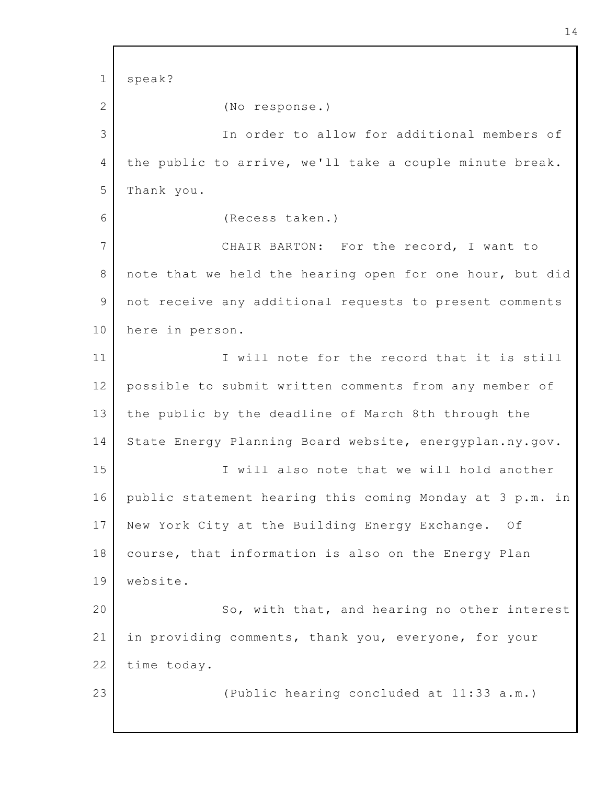1 2 3 4 5 6 7 8 9 10 11 12 13 14 15 16 17 18 19 20 21 22 23 speak? (No response.) In order to allow for additional members of the public to arrive, we'll take a couple minute break. Thank you. (Recess taken.) CHAIR BARTON: For the record, I want to note that we held the hearing open for one hour, but did not receive any additional requests to present comments here in person. I will note for the record that it is still possible to submit written comments from any member of the public by the deadline of March 8th through the State Energy Planning Board website, energyplan.ny.gov. I will also note that we will hold another public statement hearing this coming Monday at 3 p.m. in New York City at the Building Energy Exchange. Of course, that information is also on the Energy Plan website. So, with that, and hearing no other interest in providing comments, thank you, everyone, for your time today. (Public hearing concluded at 11:33 a.m.)